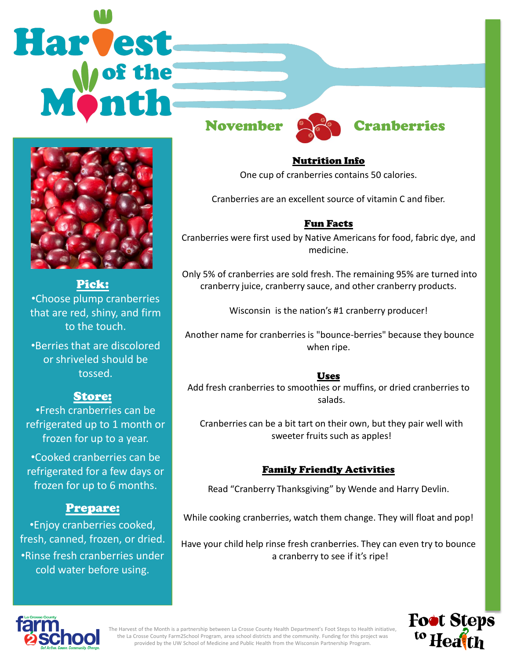# **Harvest**



#### Pick:

•Choose plump cranberries that are red, shiny, and firm to the touch.

•Berries that are discolored or shriveled should be tossed.

# Store:

•Fresh cranberries can be refrigerated up to 1 month or frozen for up to a year.

•Cooked cranberries can be refrigerated for a few days or frozen for up to 6 months.

### Prepare:

•Enjoy cranberries cooked, fresh, canned, frozen, or dried. •Rinse fresh cranberries under cold water before using.





# November **Called** Cranberries

Nutrition Info One cup of cranberries contains 50 calories.

Cranberries are an excellent source of vitamin C and fiber.

#### Fun Facts

Cranberries were first used by Native Americans for food, fabric dye, and medicine.

Only 5% of cranberries are sold fresh. The remaining 95% are turned into cranberry juice, cranberry sauce, and other cranberry products.

Wisconsin is the nation's #1 cranberry producer!

Another name for cranberries is "bounce-berries" because they bounce when ripe.

#### Uses

Add fresh cranberries to smoothies or muffins, or dried cranberries to salads.

Cranberries can be a bit tart on their own, but they pair well with sweeter fruits such as apples!

#### Family Friendly Activities

Read "Cranberry Thanksgiving" by Wende and Harry Devlin.

While cooking cranberries, watch them change. They will float and pop!

Have your child help rinse fresh cranberries. They can even try to bounce a cranberry to see if it's ripe!